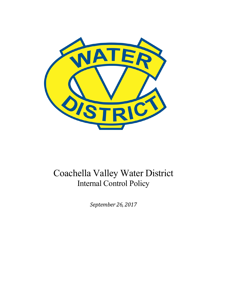

# Coachella Valley Water District Internal Control Policy

*September 26, 2017*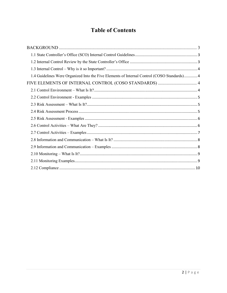# **Table of Contents**

| 1.4 Guidelines Were Organized Into the Five Elements of Internal Control (COSO Standards) 4 |
|---------------------------------------------------------------------------------------------|
|                                                                                             |
|                                                                                             |
|                                                                                             |
|                                                                                             |
|                                                                                             |
|                                                                                             |
|                                                                                             |
|                                                                                             |
|                                                                                             |
|                                                                                             |
|                                                                                             |
|                                                                                             |
|                                                                                             |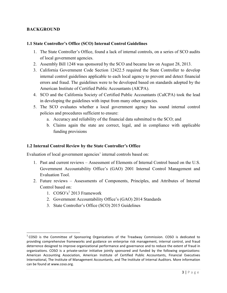# <span id="page-2-0"></span>**BACKGROUND**

#### **1.1 State Controller's Office (SCO) Internal Control Guidelines**

- 1. The State Controller's Office, found a lack of internal controls, on a series of SCO audits of local government agencies.
- 2. Assembly Bill 1248 was sponsored by the SCO and became law on August 28, 2013.
- 3. California Government Code Section 12422.5 required the State Controller to develop internal control guidelines applicable to each local agency to prevent and detect financial errors and fraud. The guidelines were to be developed based on standards adopted by the American Institute of Certified Public Accountants (AICPA).
- 4. SCO and the California Society of Certified Public Accountants (CalCPA) took the lead in developing the guidelines with input from many other agencies.
- 5. The SCO evaluates whether a local government agency has sound internal control policies and procedures sufficient to ensure:
	- a. Accuracy and reliability of the financial data submitted to the SCO; and
	- b. Claims again the state are correct, legal, and in compliance with applicable funding provisions

# **1.2 Internal Control Review by the State Controller's Office**

Evaluation of local government agencies' internal controls based on:

- 1. Past and current reviews Assessment of Elements of Internal Control based on the U.S. Government Accountability Office's (GAO) 2001 Internal Control Management and Evaluation Tool.
- 2. Future reviews Assessments of Components, Principles, and Attributes of Internal Control based on:
	- 1.  $COSO's<sup>1</sup> 2013$  Framework

 $\overline{a}$ 

- 2. Government Accountability Office's (GAO) 2014 Standards
- 3. State Controller's Office (SCO) 2015 Guidelines

 $1$  COSO is the Committee of Sponsoring Organizations of the Treadway Commission. COSO is dedicated to providing comprehensive frameworks and guidance on enterprise risk management, internal control, and fraud deterrence designed to improve organizational performance and governance and to reduce the extent of fraud in organizations. COSO is a private-sector initiative jointly sponsored and funded by the following organizations: American Accounting Association, American Institute of Certified Public Accountants, Financial Executives International, The Institute of Management Accountants, and The Institute of Internal Auditors. More information can be found at www.coso.org.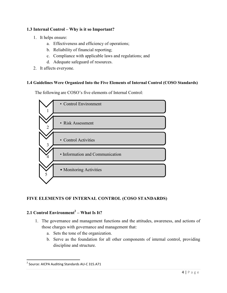# <span id="page-3-0"></span>**1.3 Internal Control – Why is it so Important?**

- 1. It helps ensure:
	- a. Effectiveness and efficiency of operations;
	- b. Reliability of financial reporting;
	- c. Compliance with applicable laws and regulations; and
	- d. Adequate safeguard of resources.
- 2. It affects everyone.

#### **1.4 Guidelines Were Organized Into the Five Elements of Internal Control (COSO Standards)**

The following are COSO's five elements of Internal Control:



# **FIVE ELEMENTS OF INTERNAL CONTROL (COSO STANDARDS)**

# **2.1 Control Environment<sup>2</sup> – What Is It?**

- 1. The governance and management functions and the attitudes, awareness, and actions of those charges with governance and management that:
	- a. Sets the tone of the organization.
	- b. Serve as the foundation for all other components of internal control, providing discipline and structure.

<sup>&</sup>lt;sup>2</sup> Source: AICPA Auditing Standards AU-C 315.A71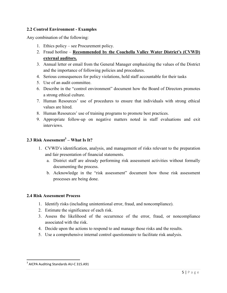# <span id="page-4-0"></span>**2.2 Control Environment - Examples**

Any combination of the following:

- 1. Ethics policy see Procurement policy.
- 2. Fraud hotline **Recommended by the Coachella Valley Water District's (CVWD) external auditors.**
- 3. Annual letter or email from the General Manager emphasizing the values of the District and the importance of following policies and procedures.
- 4. Serious consequences for policy violations, hold staff accountable for their tasks
- 5. Use of an audit committee.
- 6. Describe in the "control environment" document how the Board of Directors promotes a strong ethical culture.
- 7. Human Resources' use of procedures to ensure that individuals with strong ethical values are hired.
- 8. Human Resources' use of training programs to promote best practices.
- 9. Appropriate follow-up on negative matters noted in staff evaluations and exit interviews.

# **2.3 Risk Assessment<sup>3</sup> – What Is It?**

- 1. CVWD's identification, analysis, and management of risks relevant to the preparation and fair presentation of financial statements.
	- a. District staff are already performing risk assessment activities without formally documenting the process.
	- b. Acknowledge in the "risk assessment" document how those risk assessment processes are being done.

#### **2.4 Risk Assessment Process**

- 1. Identify risks (including unintentional error, fraud, and noncompliance).
- 2. Estimate the significance of each risk.
- 3. Assess the likelihood of the occurrence of the error, fraud, or noncompliance associated with the risk.
- 4. Decide upon the actions to respond to and manage those risks and the results.
- 5. Use a comprehensive internal control questionnaire to facilitate risk analysis.

<sup>&</sup>lt;sup>3</sup> AICPA Auditing Standards AU-C 315.A91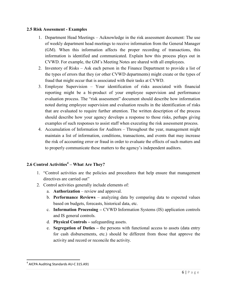#### <span id="page-5-0"></span>**2.5 Risk Assessment - Examples**

- 1. Department Head Meetings Acknowledge in the risk assessment document: The use of weekly department head meetings to receive information from the General Manager (GM). When this information affects the proper recording of transactions, this information is identified and communicated. Explain how this process plays out in CVWD. For example, the GM's Meeting Notes are shared with all employees.
- 2. Inventory of Risks Ask each person in the Finance Department to provide a list of the types of errors that they (or other CVWD departments) might create or the types of fraud that might occur that is associated with their tasks at CVWD.
- 3. Employee Supervision Your identification of risks associated with financial reporting might be a bi-product of your employee supervision and performance evaluation process. The "risk assessment" document should describe how information noted during employee supervision and evaluation results in the identification of risks that are evaluated to require further attention. The written description of the process should describe how your agency develops a response to those risks, perhaps giving examples of such responses to assist staff when executing the risk assessment process.
- 4. Accumulation of Information for Auditors Throughout the year, management might maintain a list of information, conditions, transactions, and events that may increase the risk of accounting error or fraud in order to evaluate the effects of such matters and to properly communicate these matters to the agency's independent auditors.

# **2.6 Control Activities<sup>4</sup> – What Are They?**

- 1. "Control activities are the policies and procedures that help ensure that management directives are carried out"
- 2. Control activities generally include elements of:
	- a. **Authorization** review and approval.
	- b. **Performance Reviews** analyzing data by comparing data to expected values based on budgets, forecasts, historical data, etc.
	- c. **Information Processing** CVWD Information Systems (IS) application controls and IS general controls.
	- d. **Physical Controls –** safeguarding assets.
	- e. **Segregation of Duties –** the persons with functional access to assets (data entry for cash disbursements, etc.) should be different from those that approve the activity and record or reconcile the activity.

<sup>&</sup>lt;sup>4</sup> AICPA Auditing Standards AU-C 315.A91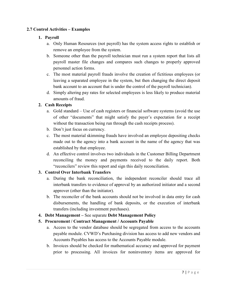# <span id="page-6-0"></span>**2.7 Control Activities – Examples**

# **1. Payroll**

- a. Only Human Resources (not payroll) has the system access rights to establish or remove an employee from the system.
- b. Someone other than the payroll technician must run a system report that lists all payroll master file changes and compares such changes to properly approved personnel action forms.
- c. The most material payroll frauds involve the creation of fictitious employees (or leaving a separated employee in the system, but then changing the direct deposit bank account to an account that is under the control of the payroll technician).
- d. Simply altering pay rates for selected employees is less likely to produce material amounts of fraud.

# **2. Cash Receipts**

- a. Gold standard Use of cash registers or financial software systems (avoid the use of other "documents" that might satisfy the payer's expectation for a receipt without the transaction being run through the cash receipts process).
- b. Don't just focus on currency.
- c. The most material skimming frauds have involved an employee depositing checks made out to the agency into a bank account in the name of the agency that was established by that employee.
- d. An effective control involves two individuals in the Customer Billing Department reconciling the money and payments received to the daily report. Both "reconcilers" review this report and sign this daily reconciliation.

# **3. Control Over Interbank Transfers**

- a. During the bank reconciliation, the independent reconciler should trace all interbank transfers to evidence of approval by an authorized initiator and a second approver (other than the initiator).
- b. The reconciler of the bank accounts should not be involved in data entry for cash disbursements, the handling of bank deposits, or the execution of interbank transfers (including investment purchases).
- **4. Debt Management** See separate **Debt Management Policy**
- **5. Procurement / Contract Management / Accounts Payable** 
	- a. Access to the vendor database should be segregated from access to the accounts payable module. CVWD's Purchasing division has access to add new vendors and Accounts Payables has access to the Accounts Payable module.
	- b. Invoices should be checked for mathematical accuracy and approved for payment prior to processing. All invoices for noninventory items are approved for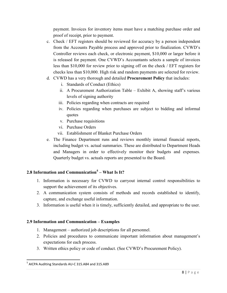<span id="page-7-0"></span>payment. Invoices for inventory items must have a matching purchase order and proof of receipt, prior to payment.

- c. Check / EFT registers should be reviewed for accuracy by a person independent from the Accounts Payable process and approved prior to finalization. CVWD's Controller reviews each check, or electronic payment, \$10,000 or larger before it is released for payment. One CVWD's Accountants selects a sample of invoices less than \$10,000 for review prior to signing off on the check / EFT registers for checks less than \$10,000. High risk and random payments are selected for review.
- d. CVWD has a very thorough and detailed **Procurement Policy** that includes:
	- i. Standards of Conduct (Ethics)
	- ii. A Procurement Authorization Table Exhibit A, showing staff's various levels of signing authority
	- iii. Policies regarding when contracts are required
	- iv. Policies regarding when purchases are subject to bidding and informal quotes
	- v. Purchase requisitions
	- vi. Purchase Orders
	- vii. Establishment of Blanket Purchase Orders
- e. The Finance Department runs and reviews monthly internal financial reports, including budget vs. actual summaries. These are distributed to Department Heads and Managers in order to effectively monitor their budgets and expenses. Quarterly budget vs. actuals reports are presented to the Board.

# **2.8 Information and Communication<sup>5</sup> – What Is It?**

- 1. Information is necessary for CVWD to carryout internal control responsibilities to support the achievement of its objectives.
- 2. A communication system consists of methods and records established to identify, capture, and exchange useful information.
- 3. Information is useful when it is timely, sufficiently detailed, and appropriate to the user.

# **2.9 Information and Communication – Examples**

- 1. Management authorized job descriptions for all personnel.
- 2. Policies and procedures to communicate important information about management's expectations for each process.
- 3. Written ethics policy or code of conduct. (See CVWD's Procurement Policy).

<sup>&</sup>lt;sup>5</sup> AICPA Auditing Standards AU-C 315.A84 and 315.A89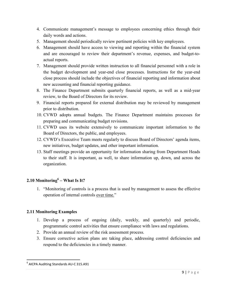- <span id="page-8-0"></span>4. Communicate management's message to employees concerning ethics through their daily words and actions.
- 5. Management should periodically review pertinent policies with key employees.
- 6. Management should have access to viewing and reporting within the financial system and are encouraged to review their department's revenue, expenses, and budget-toactual reports.
- 7. Management should provide written instruction to all financial personnel with a role in the budget development and year-end close processes. Instructions for the year-end close process should include the objectives of financial reporting and information about new accounting and financial reporting guidance.
- 8. The Finance Department submits quarterly financial reports, as well as a mid-year review, to the Board of Directors for its review.
- 9. Financial reports prepared for external distribution may be reviewed by management prior to distribution.
- 10. CVWD adopts annual budgets. The Finance Department maintains processes for preparing and communicating budget revisions.
- 11. CVWD uses its website extensively to communicate important information to the Board of Directors, the public, and employees.
- 12. CVWD's Executive Team meets regularly to discuss Board of Directors' agenda items, new initiatives, budget updates, and other important information.
- 13. Staff meetings provide an opportunity for information sharing from Department Heads to their staff. It is important, as well, to share information up, down, and across the organization.

# **2.10 Monitoring<sup>6</sup> – What Is It?**

1. "Monitoring of controls is a process that is used by management to assess the effective operation of internal controls over time."

# **2.11 Monitoring Examples**

- 1. Develop a process of ongoing (daily, weekly, and quarterly) and periodic, programmatic control activities that ensure compliance with laws and regulations.
- 2. Provide an annual review of the risk assessment process.
- 3. Ensure corrective action plans are taking place, addressing control deficiencies and respond to the deficiencies in a timely manner.

<sup>&</sup>lt;sup>6</sup> AICPA Auditing Standards AU-C 315.A91